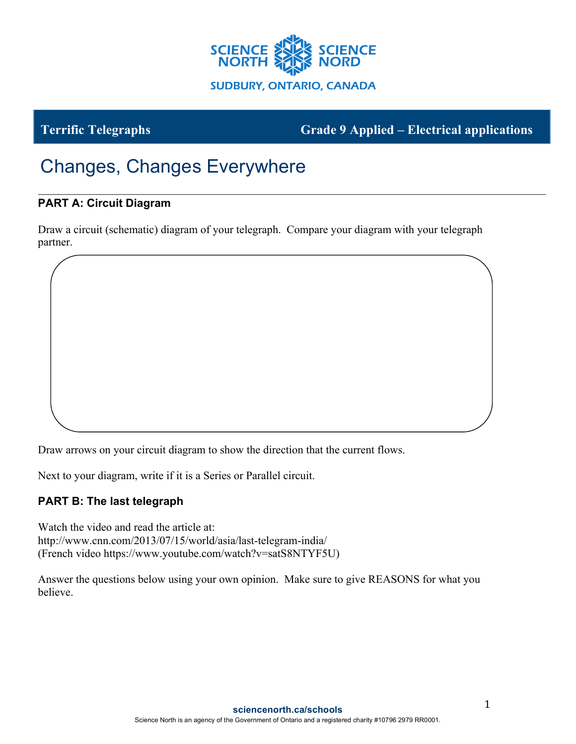

**Terrific Telegraphs Grade 9 Applied – Electrical applications**

## Changes, Changes Everywhere

## **PART A: Circuit Diagram**

Draw a circuit (schematic) diagram of your telegraph. Compare your diagram with your telegraph partner.

Draw arrows on your circuit diagram to show the direction that the current flows.

Next to your diagram, write if it is a Series or Parallel circuit.

## **PART B: The last telegraph**

Watch the video and read the article at: http://www.cnn.com/2013/07/15/world/asia/last-telegram-india/ (French video https://www.youtube.com/watch?v=satS8NTYF5U)

Answer the questions below using your own opinion. Make sure to give REASONS for what you believe.